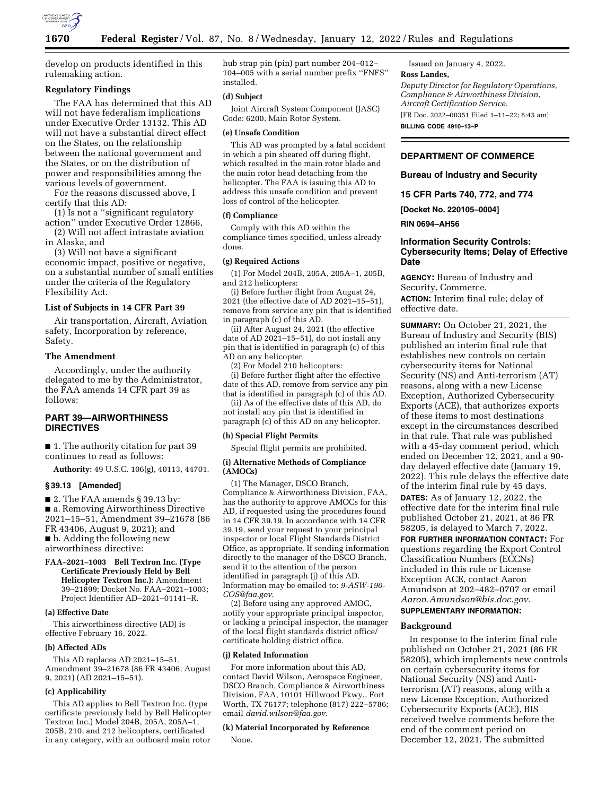

develop on products identified in this rulemaking action.

# **Regulatory Findings**

The FAA has determined that this AD will not have federalism implications under Executive Order 13132. This AD will not have a substantial direct effect on the States, on the relationship between the national government and the States, or on the distribution of power and responsibilities among the various levels of government.

For the reasons discussed above, I certify that this AD:

(1) Is not a ''significant regulatory action'' under Executive Order 12866,

(2) Will not affect intrastate aviation in Alaska, and

(3) Will not have a significant economic impact, positive or negative, on a substantial number of small entities under the criteria of the Regulatory Flexibility Act.

# **List of Subjects in 14 CFR Part 39**

Air transportation, Aircraft, Aviation safety, Incorporation by reference, Safety.

# **The Amendment**

Accordingly, under the authority delegated to me by the Administrator, the FAA amends 14 CFR part 39 as follows:

### **PART 39—AIRWORTHINESS DIRECTIVES**

■ 1. The authority citation for part 39 continues to read as follows:

**Authority:** 49 U.S.C. 106(g), 40113, 44701.

### **§ 39.13 [Amended]**

 $\blacksquare$  2. The FAA amends § 39.13 by: ■ a. Removing Airworthiness Directive 2021–15–51, Amendment 39–21678 (86 FR 43406, August 9, 2021); and ■ b. Adding the following new airworthiness directive:

**FAA–2021–1003 Bell Textron Inc. (Type Certificate Previously Held by Bell Helicopter Textron Inc.):** Amendment 39–21899; Docket No. FAA–2021–1003; Project Identifier AD–2021–01141–R.

### **(a) Effective Date**

This airworthiness directive (AD) is effective February 16, 2022.

### **(b) Affected ADs**

This AD replaces AD 2021–15–51, Amendment 39–21678 (86 FR 43406, August 9, 2021) (AD 2021–15–51).

### **(c) Applicability**

This AD applies to Bell Textron Inc. (type certificate previously held by Bell Helicopter Textron Inc.) Model 204B, 205A, 205A–1, 205B, 210, and 212 helicopters, certificated in any category, with an outboard main rotor hub strap pin (pin) part number 204–012– 104–005 with a serial number prefix ''FNFS'' installed.

#### **(d) Subject**

Joint Aircraft System Component (JASC) Code: 6200, Main Rotor System.

### **(e) Unsafe Condition**

This AD was prompted by a fatal accident in which a pin sheared off during flight, which resulted in the main rotor blade and the main rotor head detaching from the helicopter. The FAA is issuing this AD to address this unsafe condition and prevent loss of control of the helicopter.

### **(f) Compliance**

Comply with this AD within the compliance times specified, unless already done.

#### **(g) Required Actions**

(1) For Model 204B, 205A, 205A–1, 205B, and 212 helicopters:

(i) Before further flight from August 24, 2021 (the effective date of AD 2021–15–51), remove from service any pin that is identified in paragraph (c) of this AD.

(ii) After August 24, 2021 (the effective date of AD 2021–15–51), do not install any pin that is identified in paragraph (c) of this AD on any helicopter.

(2) For Model 210 helicopters: (i) Before further flight after the effective date of this AD, remove from service any pin that is identified in paragraph (c) of this AD.

(ii) As of the effective date of this AD, do not install any pin that is identified in paragraph (c) of this AD on any helicopter.

### **(h) Special Flight Permits**

Special flight permits are prohibited.

### **(i) Alternative Methods of Compliance (AMOCs)**

(1) The Manager, DSCO Branch, Compliance & Airworthiness Division, FAA, has the authority to approve AMOCs for this AD, if requested using the procedures found in 14 CFR 39.19. In accordance with 14 CFR 39.19, send your request to your principal inspector or local Flight Standards District Office, as appropriate. If sending information directly to the manager of the DSCO Branch, send it to the attention of the person identified in paragraph (j) of this AD. Information may be emailed to: *[9-ASW-190-](mailto:9-ASW-190-COS@faa.gov)  [COS@faa.gov](mailto:9-ASW-190-COS@faa.gov)*.

(2) Before using any approved AMOC, notify your appropriate principal inspector, or lacking a principal inspector, the manager of the local flight standards district office/ certificate holding district office.

#### **(j) Related Information**

For more information about this AD, contact David Wilson, Aerospace Engineer, DSCO Branch, Compliance & Airworthiness Division, FAA, 10101 Hillwood Pkwy., Fort Worth, TX 76177; telephone (817) 222–5786; email *[david.wilson@faa.gov](mailto:david.wilson@faa.gov)*.

# **(k) Material Incorporated by Reference**  None.

Issued on January 4, 2022. **Ross Landes,**  *Deputy Director for Regulatory Operations, Compliance & Airworthiness Division, Aircraft Certification Service.*  [FR Doc. 2022–00351 Filed 1–11–22; 8:45 am]

**BILLING CODE 4910–13–P** 

# **DEPARTMENT OF COMMERCE**

**Bureau of Industry and Security** 

**15 CFR Parts 740, 772, and 774** 

**[Docket No. 220105–0004]** 

**RIN 0694–AH56** 

# **Information Security Controls: Cybersecurity Items; Delay of Effective Date**

**AGENCY:** Bureau of Industry and Security, Commerce. **ACTION:** Interim final rule; delay of effective date.

**SUMMARY:** On October 21, 2021, the Bureau of Industry and Security (BIS) published an interim final rule that establishes new controls on certain cybersecurity items for National Security (NS) and Anti-terrorism (AT) reasons, along with a new License Exception, Authorized Cybersecurity Exports (ACE), that authorizes exports of these items to most destinations except in the circumstances described in that rule. That rule was published with a 45-day comment period, which ended on December 12, 2021, and a 90 day delayed effective date (January 19, 2022). This rule delays the effective date of the interim final rule by 45 days. **DATES:** As of January 12, 2022, the effective date for the interim final rule published October 21, 2021, at 86 FR 58205, is delayed to March 7, 2022.

**FOR FURTHER INFORMATION CONTACT:** For questions regarding the Export Control Classification Numbers (ECCNs) included in this rule or License Exception ACE, contact Aaron Amundson at 202–482–0707 or email *[Aaron.Amundson@bis.doc.gov.](mailto:Aaron.Amundson@bis.doc.gov)*  **SUPPLEMENTARY INFORMATION:** 

### **Background**

In response to the interim final rule published on October 21, 2021 (86 FR 58205), which implements new controls on certain cybersecurity items for National Security (NS) and Antiterrorism (AT) reasons, along with a new License Exception, Authorized Cybersecurity Exports (ACE), BIS received twelve comments before the end of the comment period on December 12, 2021. The submitted